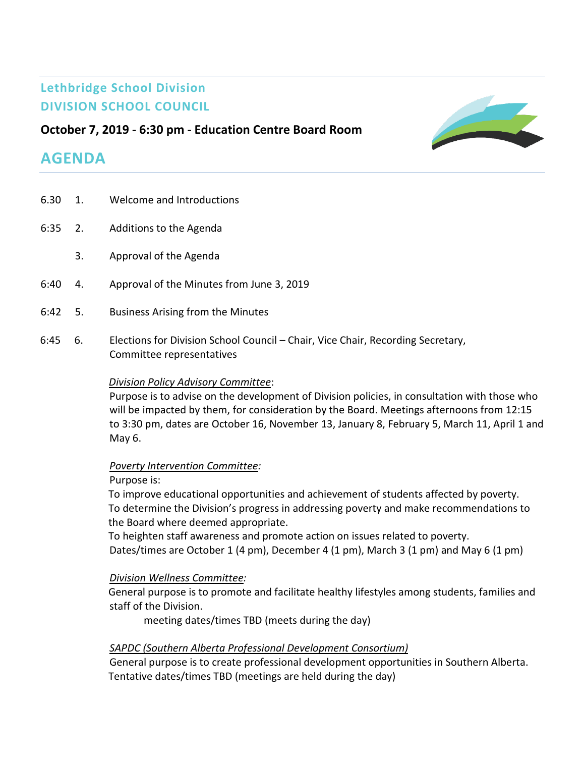# **Lethbridge School Division DIVISION SCHOOL COUNCIL**

# **October 7, 2019 - 6:30 pm - Education Centre Board Room**

# **AGENDA**

6.30 1. Welcome and Introductions 6:35 2. Additions to the Agenda 3. Approval of the Agenda 6:40 4. Approval of the Minutes from June 3, 2019 6:42 5. Business Arising from the Minutes 6:45 6. Elections for Division School Council – Chair, Vice Chair, Recording Secretary, Committee representatives *Division Policy Advisory Committee*: Purpose is to advise on the development of Division policies, in consultation with those who will be impacted by them, for consideration by the Board. Meetings afternoons from 12:15

to 3:30 pm, dates are October 16, November 13, January 8, February 5, March 11, April 1 and May 6.

## *Poverty Intervention Committee:*

## Purpose is:

To improve educational opportunities and achievement of students affected by poverty. To determine the Division's progress in addressing poverty and make recommendations to the Board where deemed appropriate.

To heighten staff awareness and promote action on issues related to poverty. Dates/times are October 1 (4 pm), December 4 (1 pm), March 3 (1 pm) and May 6 (1 pm)

# *Division Wellness Committee:*

General purpose is to promote and facilitate healthy lifestyles among students, families and staff of the Division.

meeting dates/times TBD (meets during the day)

# *SAPDC (Southern Alberta Professional Development Consortium)*

General purpose is to create professional development opportunities in Southern Alberta. Tentative dates/times TBD (meetings are held during the day)

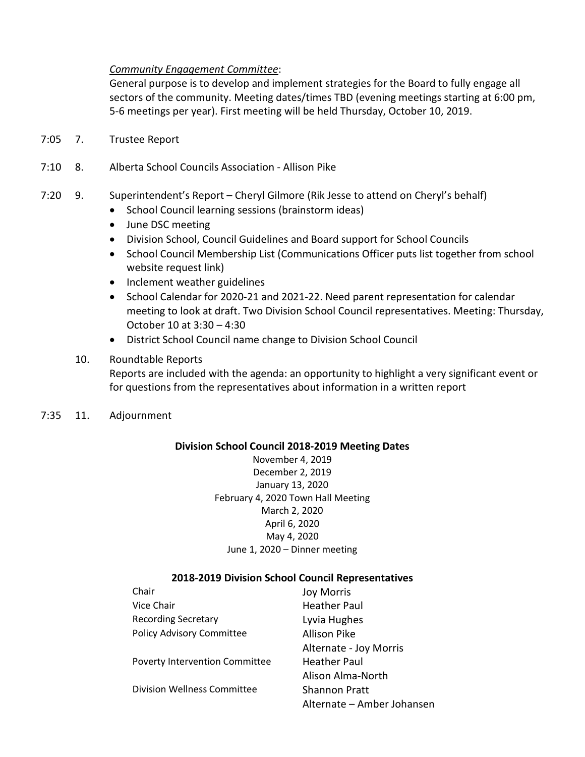## *Community Engagement Committee*:

General purpose is to develop and implement strategies for the Board to fully engage all sectors of the community. Meeting dates/times TBD (evening meetings starting at 6:00 pm, 5-6 meetings per year). First meeting will be held Thursday, October 10, 2019.

- 7:05 7. Trustee Report
- 7:10 8. Alberta School Councils Association Allison Pike
- 7:20 9. Superintendent's Report Cheryl Gilmore (Rik Jesse to attend on Cheryl's behalf)
	- School Council learning sessions (brainstorm ideas)
	- June DSC meeting
	- Division School, Council Guidelines and Board support for School Councils
	- School Council Membership List (Communications Officer puts list together from school website request link)
	- Inclement weather guidelines
	- School Calendar for 2020-21 and 2021-22. Need parent representation for calendar meeting to look at draft. Two Division School Council representatives. Meeting: Thursday, October 10 at 3:30 – 4:30
	- District School Council name change to Division School Council

# 10. Roundtable Reports

Reports are included with the agenda: an opportunity to highlight a very significant event or for questions from the representatives about information in a written report

7:35 11. Adjournment

## **Division School Council 2018-2019 Meeting Dates**

November 4, 2019 December 2, 2019 January 13, 2020 February 4, 2020 Town Hall Meeting March 2, 2020 April 6, 2020 May 4, 2020 June 1, 2020 – Dinner meeting

## **2018-2019 Division School Council Representatives**

| Chair                                 | <b>Joy Morris</b>          |
|---------------------------------------|----------------------------|
| Vice Chair                            | <b>Heather Paul</b>        |
| <b>Recording Secretary</b>            | Lyvia Hughes               |
| Policy Advisory Committee             | <b>Allison Pike</b>        |
|                                       | Alternate - Joy Morris     |
| <b>Poverty Intervention Committee</b> | <b>Heather Paul</b>        |
|                                       | Alison Alma-North          |
| Division Wellness Committee           | <b>Shannon Pratt</b>       |
|                                       | Alternate - Amber Johansen |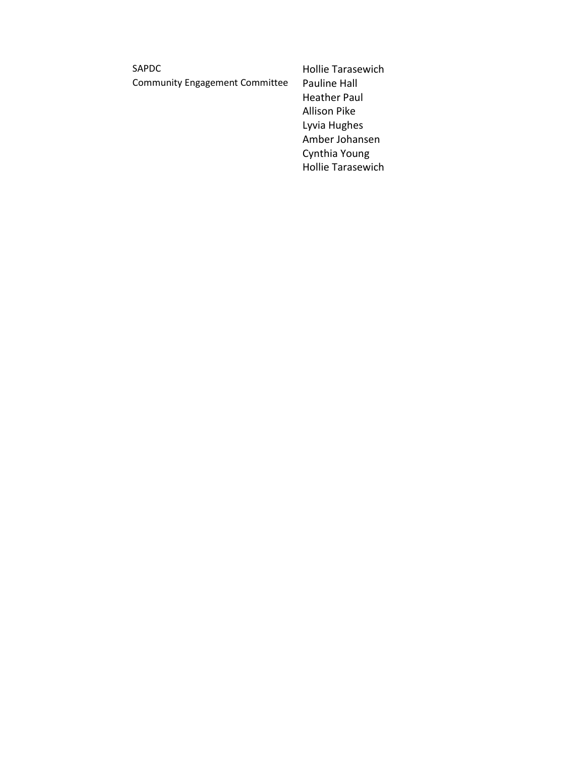SAPDC **Hollie Tarasewich** Community Engagement Committee Pauline Hall

Heather Paul Allison Pike Lyvia Hughes Amber Johansen Cynthia Young Hollie Tarasewich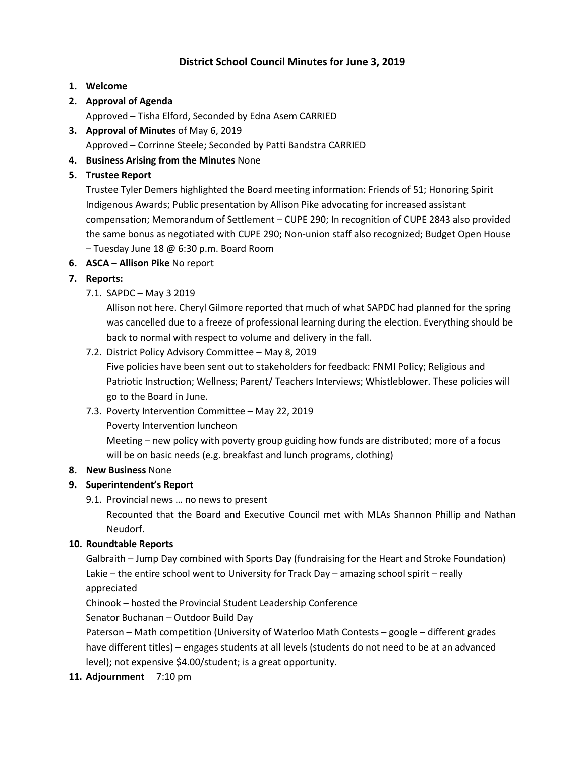# **District School Council Minutes for June 3, 2019**

## **1. Welcome**

# **2. Approval of Agenda**

Approved – Tisha Elford, Seconded by Edna Asem CARRIED

**3. Approval of Minutes** of May 6, 2019

Approved – Corrinne Steele; Seconded by Patti Bandstra CARRIED

- **4. Business Arising from the Minutes** None
- **5. Trustee Report**

Trustee Tyler Demers highlighted the Board meeting information: Friends of 51; Honoring Spirit Indigenous Awards; Public presentation by Allison Pike advocating for increased assistant compensation; Memorandum of Settlement – CUPE 290; In recognition of CUPE 2843 also provided the same bonus as negotiated with CUPE 290; Non-union staff also recognized; Budget Open House – Tuesday June 18 @ 6:30 p.m. Board Room

**6. ASCA – Allison Pike** No report

# **7. Reports:**

7.1. SAPDC – May 3 2019

Allison not here. Cheryl Gilmore reported that much of what SAPDC had planned for the spring was cancelled due to a freeze of professional learning during the election. Everything should be back to normal with respect to volume and delivery in the fall.

7.2. District Policy Advisory Committee – May 8, 2019

Five policies have been sent out to stakeholders for feedback: FNMI Policy; Religious and Patriotic Instruction; Wellness; Parent/ Teachers Interviews; Whistleblower. These policies will go to the Board in June.

7.3. Poverty Intervention Committee – May 22, 2019

Poverty Intervention luncheon

Meeting – new policy with poverty group guiding how funds are distributed; more of a focus will be on basic needs (e.g. breakfast and lunch programs, clothing)

## **8. New Business** None

# **9. Superintendent's Report**

9.1. Provincial news … no news to present

Recounted that the Board and Executive Council met with MLAs Shannon Phillip and Nathan Neudorf.

## **10. Roundtable Reports**

Galbraith – Jump Day combined with Sports Day (fundraising for the Heart and Stroke Foundation) Lakie – the entire school went to University for Track Day – amazing school spirit – really appreciated

Chinook – hosted the Provincial Student Leadership Conference

Senator Buchanan – Outdoor Build Day

Paterson – Math competition (University of Waterloo Math Contests – google – different grades have different titles) – engages students at all levels (students do not need to be at an advanced level); not expensive \$4.00/student; is a great opportunity.

**11. Adjournment** 7:10 pm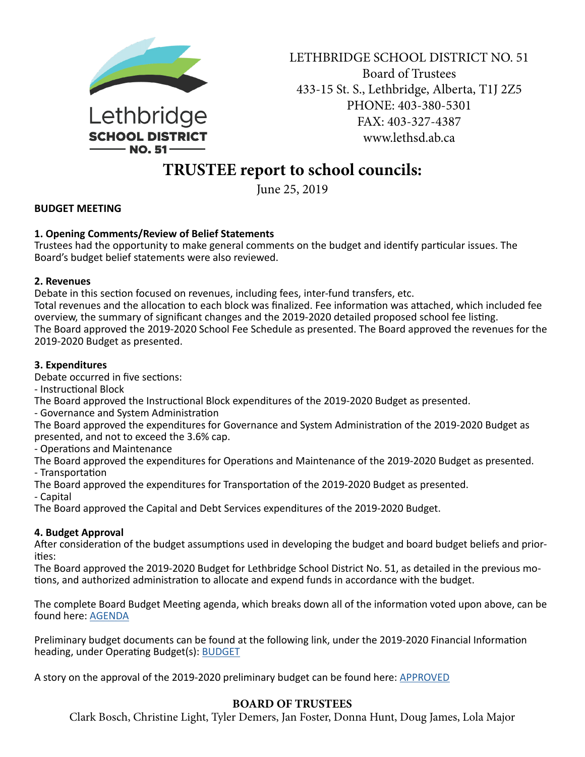

LETHBRIDGE SCHOOL DISTRICT NO. 51 Board of Trustees 433-15 St. S., Lethbridge, Alberta, T1J 2Z5 PHONE: 403-380-5301 FAX: 403-327-4387 www.lethsd.ab.ca

# **TRUSTEE report to school councils:**

June 25, 2019

## **BUDGET MEETING**

## **1. Opening Comments/Review of Belief Statements**

Trustees had the opportunity to make general comments on the budget and identify particular issues. The Board's budget belief statements were also reviewed.

## **2. Revenues**

Debate in this section focused on revenues, including fees, inter-fund transfers, etc.

Total revenues and the allocation to each block was finalized. Fee information was attached, which included fee overview, the summary of significant changes and the 2019‐2020 detailed proposed school fee listing. The Board approved the 2019‐2020 School Fee Schedule as presented. The Board approved the revenues for the 2019‐2020 Budget as presented.

## **3. Expenditures**

Debate occurred in five sections:

- Instructional Block

The Board approved the Instructional Block expenditures of the 2019‐2020 Budget as presented.

- Governance and System Administration

The Board approved the expenditures for Governance and System Administration of the 2019‐2020 Budget as presented, and not to exceed the 3.6% cap.

- Operations and Maintenance

The Board approved the expenditures for Operations and Maintenance of the 2019‐2020 Budget as presented. - Transportation

The Board approved the expenditures for Transportation of the 2019‐2020 Budget as presented.

- Capital

The Board approved the Capital and Debt Services expenditures of the 2019‐2020 Budget.

## **4. Budget Approval**

After consideration of the budget assumptions used in developing the budget and board budget beliefs and prior‐ ities:

The Board approved the 2019‐2020 Budget for Lethbridge School District No. 51, as detailed in the previous mo‐ tions, and authorized administration to allocate and expend funds in accordance with the budget.

The complete Board Budget Meeting agenda, which breaks down all of the information voted upon above, can be found here: [AGENDA](http://www.lethsd.ab.ca/documents/general/2019-06-25%20Budget%20Meeting%20Agenda.pdf)

Preliminary budget documents can be found at the following link, under the 2019-2020 Financial Information heading, under Operating Budget(s): **[BUDGET](http://www.lethsd.ab.ca/Financial%20Statements.php)** 

A story on the approval of the 2019-2020 preliminary budget can be found here: **[APPROVED](http://www.lethsd.ab.ca/view.php?action=object&id=89297&stream=Homepage%20News)** 

## **BOARD OF TRUSTEES**

Clark Bosch, Christine Light, Tyler Demers, Jan Foster, Donna Hunt, Doug James, Lola Major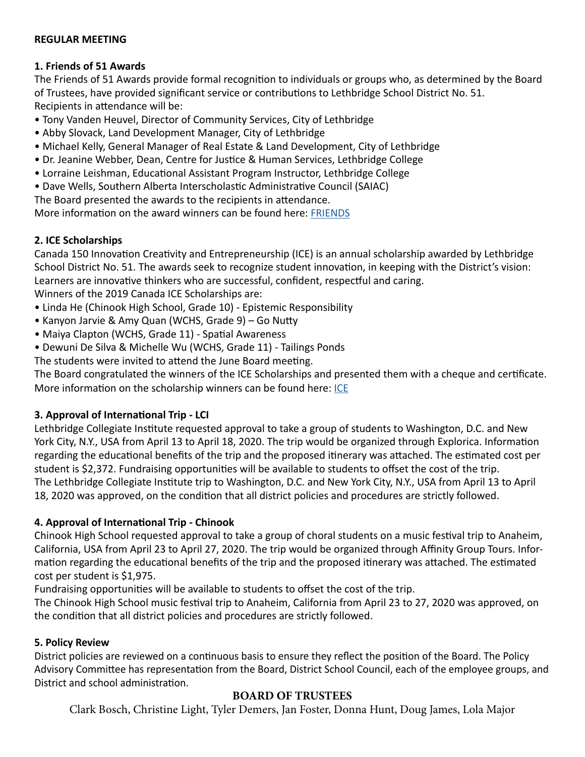## **REGULAR MEETING**

# **1. Friends of 51 Awards**

The Friends of 51 Awards provide formal recognition to individuals or groups who, as determined by the Board of Trustees, have provided significant service or contributions to Lethbridge School District No. 51. Recipients in attendance will be:

- Tony Vanden Heuvel, Director of Community Services, City of Lethbridge
- Abby Slovack, Land Development Manager, City of Lethbridge
- Michael Kelly, General Manager of Real Estate & Land Development, City of Lethbridge
- Dr. Jeanine Webber, Dean, Centre for Justice & Human Services, Lethbridge College
- Lorraine Leishman, Educational Assistant Program Instructor, Lethbridge College
- Dave Wells, Southern Alberta Interscholastic Administrative Council (SAIAC)

The Board presented the awards to the recipients in attendance.

More information on the award winners can be found here: [FRIENDS](http://www.lethsd.ab.ca/view.php?action=object&id=89309&stream=Homepage%20News)

# **2. ICE Scholarships**

Canada 150 Innovation Creativity and Entrepreneurship (ICE) is an annual scholarship awarded by Lethbridge School District No. 51. The awards seek to recognize student innovation, in keeping with the District's vision: Learners are innovative thinkers who are successful, confident, respectful and caring. Winners of the 2019 Canada ICE Scholarships are:

- Linda He (Chinook High School, Grade 10) Epistemic Responsibility
- Kanyon Jarvie & Amy Quan (WCHS, Grade 9) Go Nutty
- Maiya Clapton (WCHS, Grade 11) Spatial Awareness
- Dewuni De Silva & Michelle Wu (WCHS, Grade 11) Tailings Ponds
- The students were invited to attend the June Board meeting.

The Board congratulated the winners of the ICE Scholarships and presented them with a cheque and certificate. More information on the scholarship winners can be found here: [ICE](http://www.lethsd.ab.ca/view.php?action=object&id=89307&stream=Homepage%20News)

# **3. Approval of International Trip - LCI**

Lethbridge Collegiate Institute requested approval to take a group of students to Washington, D.C. and New York City, N.Y., USA from April 13 to April 18, 2020. The trip would be organized through Explorica. Information regarding the educational benefits of the trip and the proposed itinerary was attached. The estimated cost per student is \$2,372. Fundraising opportunities will be available to students to offset the cost of the trip. The Lethbridge Collegiate Institute trip to Washington, D.C. and New York City, N.Y., USA from April 13 to April 18, 2020 was approved, on the condition that all district policies and procedures are strictly followed.

# **4. Approval of International Trip - Chinook**

Chinook High School requested approval to take a group of choral students on a music festival trip to Anaheim, California, USA from April 23 to April 27, 2020. The trip would be organized through Affinity Group Tours. Infor‐ mation regarding the educational benefits of the trip and the proposed itinerary was attached. The estimated cost per student is \$1,975.

Fundraising opportunities will be available to students to offset the cost of the trip.

The Chinook High School music festival trip to Anaheim, California from April 23 to 27, 2020 was approved, on the condition that all district policies and procedures are strictly followed.

# **5. Policy Review**

District policies are reviewed on a continuous basis to ensure they reflect the position of the Board. The Policy Advisory Committee has representation from the Board, District School Council, each of the employee groups, and District and school administration.

# **BOARD OF TRUSTEES**

Clark Bosch, Christine Light, Tyler Demers, Jan Foster, Donna Hunt, Doug James, Lola Major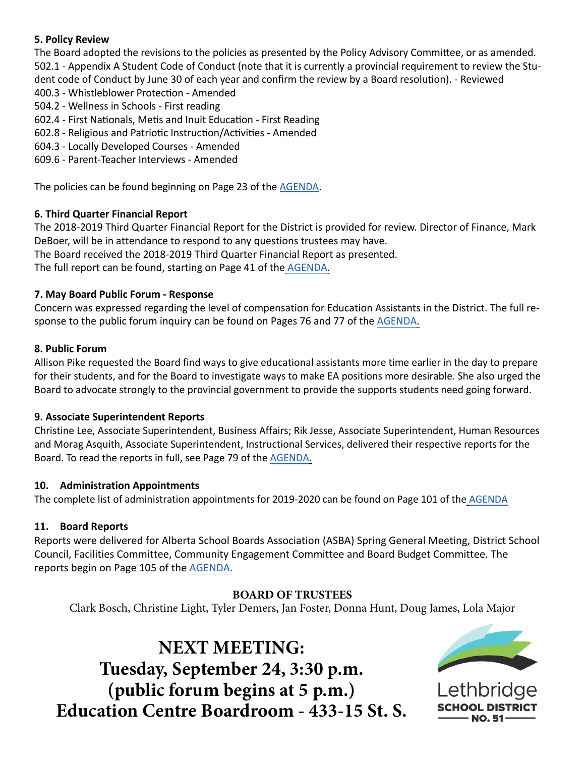# **5. Policy Review**

The Board adopted the revisions to the policies as presented by the Policy Advisory Committee, or as amended. 502.1 - Appendix A Student Code of Conduct (note that it is currently a provincial requirement to review the Stu‐ dent code of Conduct by June 30 of each year and confirm the review by a Board resolution). - Reviewed

- 400.3 Whistleblower Protection Amended
- 504.2 Wellness in Schools First reading
- 602.4 First Nationals, Metis and Inuit Education First Reading
- 602.8 Religious and Patriotic Instruction/Activities Amended
- 604.3 Locally Developed Courses Amended
- 609.6 Parent-Teacher Interviews Amended

The policies can be found beginning on Page 23 of the [AGENDA.](http://www.lethsd.ab.ca/documents/general/2019-06-25%20Board%20Meeting%20Agenda.pdf)

# **6. Third Quarter Financial Report**

The 2018‐2019 Third Quarter Financial Report for the District is provided for review. Director of Finance, Mark DeBoer, will be in attendance to respond to any questions trustees may have.

The Board received the 2018‐2019 Third Quarter Financial Report as presented.

The full report can be found, starting on Page 41 of the [AGENDA](http://www.lethsd.ab.ca/documents/general/2019-06-25%20Board%20Meeting%20Agenda.pdf).

# **7. May Board Public Forum - Response**

Concern was expressed regarding the level of compensation for Education Assistants in the District. The full re‐ sponse to the public forum inquiry can be found on Pages 76 and 77 of the [AGENDA](http://www.lethsd.ab.ca/documents/general/2019-06-25%20Board%20Meeting%20Agenda.pdf).

# **8. Public Forum**

Allison Pike requested the Board find ways to give educational assistants more time earlier in the day to prepare for their students, and for the Board to investigate ways to make EA positions more desirable. She also urged the Board to advocate strongly to the provincial government to provide the supports students need going forward.

# **9. Associate Superintendent Reports**

Christine Lee, Associate Superintendent, Business Affairs; Rik Jesse, Associate Superintendent, Human Resources and Morag Asquith, Associate Superintendent, Instructional Services, delivered their respective reports for the Board. To read the reports in full, see Page 79 of the [AGENDA](http://www.lethsd.ab.ca/documents/general/2019-06-25%20Board%20Meeting%20Agenda.pdf).

# **10. Administration Appointments**

The complete list of administration appointments for 2019‐2020 can be found on Page 101 of the [AGENDA](http://www.lethsd.ab.ca/documents/general/2019-06-25%20Board%20Meeting%20Agenda.pdf)

# **11. Board Reports**

Reports were delivered for Alberta School Boards Association (ASBA) Spring General Meeting, District School Council, Facilities Committee, Community Engagement Committee and Board Budget Committee. The reports begin on Page 10[5 of the A](http://www.lethsd.ab.ca/documents/general/2019-06-25%20Board%20Meeting%20Agenda.pdf)GENDA.

# **BOARD OF TRUSTEES**

Clark Bosch, Christine Light, Tyler Demers, Jan Foster, Donna Hunt, Doug James, Lola Major

**NEXT MEETING: Tuesday, September 24, 3:30 p.m. (public forum begins at 5 p.m.) Education Centre Boardroom - 433-15 St. S.**



Lethbridge **NO.51**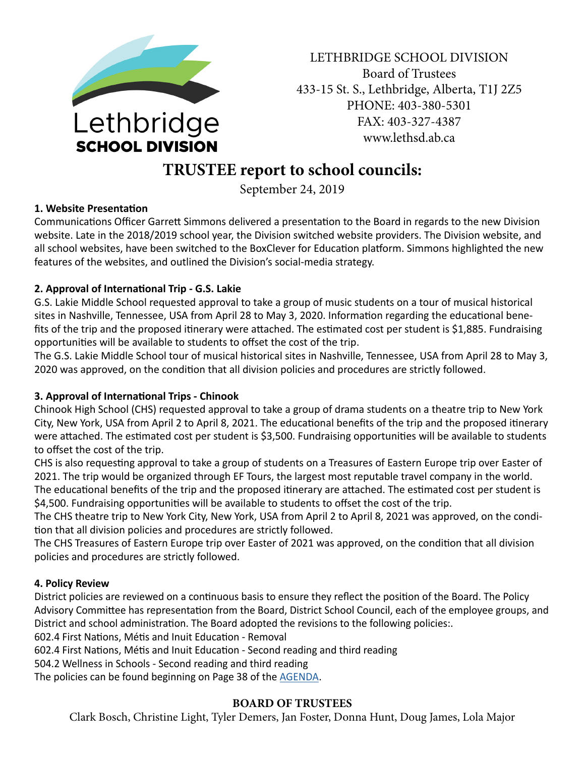

LETHBRIDGE SCHOOL DIVISION Board of Trustees 433-15 St. S., Lethbridge, Alberta, T1J 2Z5 PHONE: 403-380-5301 FAX: 403-327-4387 www.lethsd.ab.ca

# **TRUSTEE report to school councils:**

September 24, 2019

# **1. Website Presentation**

Communications Officer Garrett Simmons delivered a presentation to the Board in regards to the new Division website. Late in the 2018/2019 school year, the Division switched website providers. The Division website, and all school websites, have been switched to the BoxClever for Education platform. Simmons highlighted the new features of the websites, and outlined the Division's social-media strategy.

# **2. Approval of International Trip - G.S. Lakie**

G.S. Lakie Middle School requested approval to take a group of music students on a tour of musical historical sites in Nashville, Tennessee, USA from April 28 to May 3, 2020. Information regarding the educational benefits of the trip and the proposed itinerary were attached. The estimated cost per student is \$1,885. Fundraising opportunities will be available to students to offset the cost of the trip.

The G.S. Lakie Middle School tour of musical historical sites in Nashville, Tennessee, USA from April 28 to May 3, 2020 was approved, on the condition that all division policies and procedures are strictly followed.

# **3. Approval of International Trips - Chinook**

Chinook High School (CHS) requested approval to take a group of drama students on a theatre trip to New York City, New York, USA from April 2 to April 8, 2021. The educational benefits of the trip and the proposed itinerary were attached. The estimated cost per student is \$3,500. Fundraising opportunities will be available to students to offset the cost of the trip.

CHS is also requesting approval to take a group of students on a Treasures of Eastern Europe trip over Easter of 2021. The trip would be organized through EF Tours, the largest most reputable travel company in the world.

The educational benefits of the trip and the proposed itinerary are attached. The estimated cost per student is \$4,500. Fundraising opportunities will be available to students to offset the cost of the trip.

The CHS theatre trip to New York City, New York, USA from April 2 to April 8, 2021 was approved, on the condition that all division policies and procedures are strictly followed.

The CHS Treasures of Eastern Europe trip over Easter of 2021 was approved, on the condition that all division policies and procedures are strictly followed.

# **4. Policy Review**

District policies are reviewed on a continuous basis to ensure they reflect the position of the Board. The Policy Advisory Committee has representation from the Board, District School Council, each of the employee groups, and District and school administration. The Board adopted the revisions to the following policies:.

602.4 First Nations, Métis and Inuit Education - Removal

602.4 First Nations, Métis and Inuit Education - Second reading and third reading

504.2 Wellness in Schools - Second reading and third reading

The policies can be found beginning on Page 38 of the [AGENDA.](https://www.lethsd.ab.ca/download/203356)

## **BOARD OF TRUSTEES**

Clark Bosch, Christine Light, Tyler Demers, Jan Foster, Donna Hunt, Doug James, Lola Major